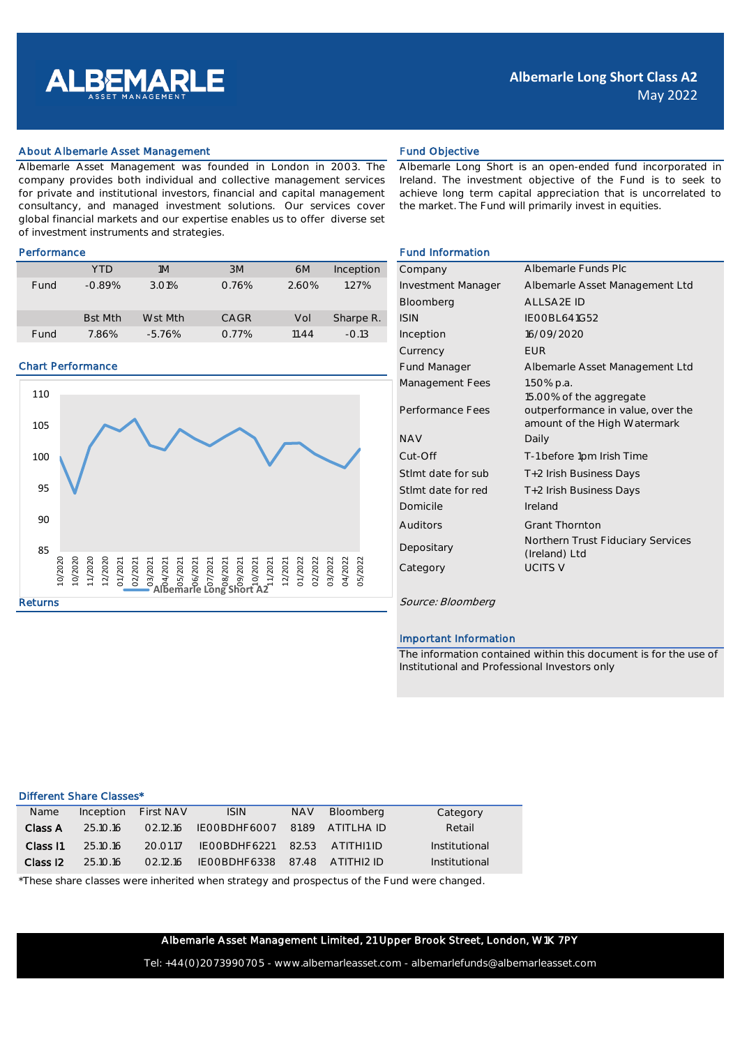

## About Albemarle Asset Management **Fund Objective** Fund Objective

Albemarle Asset Management was founded in London in 2003. The company provides both individual and collective management services for private and institutional investors, financial and capital management consultancy, and managed investment solutions. Our services cover global financial markets and our expertise enables us to offer diverse set of investment instruments and strategies.

|      | YTD            | 1M       | 3M          | 6M    | Inception | Company                   | Albemarle Funds Plc            |
|------|----------------|----------|-------------|-------|-----------|---------------------------|--------------------------------|
| Fund | $-0.89%$       | 3.01%    | 0.76%       | 2.60% | 1.27%     | <b>Investment Manager</b> | Albemarle Asset Management Ltd |
|      |                |          |             |       |           | Bloomberg                 | ALLSA2E ID                     |
|      | <b>Bst Mth</b> | Wst Mth  | <b>CAGR</b> | Vol   | Sharpe R. | <b>ISIN</b>               | IEOOBL641G52                   |
| Fund | 7.86%          | $-5.76%$ | 0.77%       | 11.44 | $-0.13$   | Inception                 | 16/09/2020                     |

### Chart Performance



Albemarle Long Short is an open-ended fund incorporated in Ireland. The investment objective of the Fund is to seek to achieve long term capital appreciation that is uncorrelated to the market. The Fund will primarily invest in equities.

# Performance Fund Information

| Company                   | Albemarle Funds Plc                                               |
|---------------------------|-------------------------------------------------------------------|
| <b>Investment Manager</b> | Albemarle Asset Management Ltd                                    |
| Bloomberg                 | ALL SA2E ID                                                       |
| <b>ISIN</b>               | <b>IFOOBL 641G52</b>                                              |
| Inception                 | 16/09/2020                                                        |
| Currency                  | <b>FUR</b>                                                        |
| <b>Fund Manager</b>       | Albemarle Asset Management Ltd                                    |
| Management Fees           | 1.50% p.a.<br>15.00% of the aggregate                             |
| Performance Fees          | outperformance in value, over the<br>amount of the High Watermark |
| <b>NAV</b>                | Daily                                                             |
| Cut-Off                   | T-1 before 1pm Irish Time                                         |
| Stlmt date for sub        | T+2 Irish Business Days                                           |
| Stimt date for red        | T+2 Irish Business Days                                           |
| Domicile                  | Ireland                                                           |
| Auditors                  | <b>Grant Thornton</b>                                             |
| Depositary                | Northern Trust Fiduciary Services<br>(Ireland) Ltd                |
| Category                  | <b>UCITS V</b>                                                    |

### Important Information

The information contained within this document is for the use of Institutional and Professional Investors only

# Different Share Classes\*

| <b>Name</b>         | Inception | <b>First NAV</b> | <b>ISIN</b>                   | <b>NAV</b> | Bloomberg          | Category      |
|---------------------|-----------|------------------|-------------------------------|------------|--------------------|---------------|
| Class A             | 251016    | 02.12.16         | IEOOBDHF6007                  |            | $81.89$ ATITLHA ID | Retail        |
| Class I1            | 25.10.16  | 20.01.17         | IFOOBDHF6221                  |            | $82.53$ ATITHI1ID  | Institutional |
| Class <sub>12</sub> | 25.10.16  | 02.12.16         | IFOOBDHF6338 87.48 ATITHI2 ID |            |                    | Institutional |

\*These share classes were inherited when strategy and prospectus of the Fund were changed.

Albemarle Asset Management Limited, 21 Upper Brook Street, London, W1K 7PY

Tel: +44(0)2073990705 - www.albemarleasset.com - albemarlefunds@albemarleasset.com